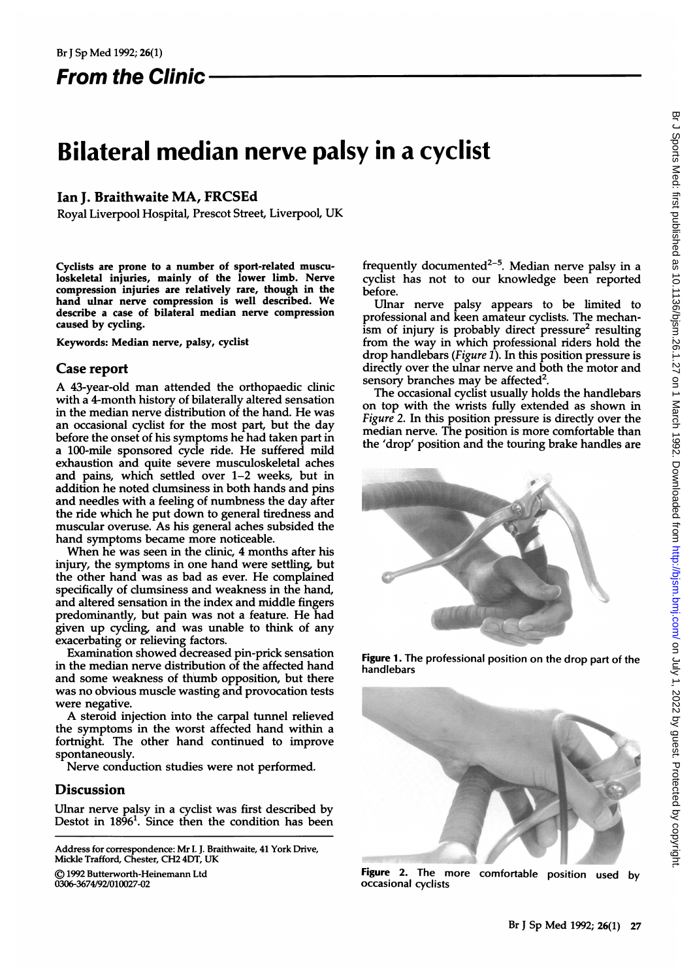From the Clinic

# Bilateral median nerve palsy in a cyclist

## Ian J. Braithwaite MA, FRCSEd

Royal Liverpool Hospital, Prescot Street, Liverpool, UK

Cyclists are prone to a number of sport-related musculoskeletal injuries, mainly of the lower limb. Nerve compression injuries are relatively rare, though in the hand ulnar nerve compression is well described. We describe a case of bilateral median nerve compression caused by cycling.

Keywords: Median nerve, palsy, cyclist

### Case report

A 43-year-old man attended the orthopaedic clinic with a 4-month history of bilaterally altered sensation in the median nerve distribution of the hand. He was an occasional cyclist for the most part, but the day before the onset of his symptoms he had taken part in a 100-mile sponsored cycle ride. He suffered mild exhaustion and quite severe musculoskeletal aches and pains, which settled over 1-2 weeks, but in addition he noted clumsiness in both hands and pins and needles with a feeling of numbness the day after the ride which he put down to general tiredness and muscular overuse. As his general aches subsided the hand symptoms became more noticeable.

When he was seen in the clinic, 4 months after his injury, the symptoms in one hand were settling, but the other hand was as bad as ever. He complained specifically of clumsiness and weakness in the hand, and altered sensation in the index and middle fingers predominantly, but pain was not <sup>a</sup> feature. He had given up cycling, and was unable to think of any exacerbating or relieving factors.

Examination showed decreased pin-prick sensation in the median nerve distribution of the affected hand and some weakness of thumb opposition, but there was no obvious muscle wasting and provocation tests were negative.

A steroid injection into the carpal tunnel relieved the symptoms in the worst affected hand within a fortnight. The other hand continued to improve spontaneously.

Nerve conduction studies were not performed.

## **Discussion**

Ulnar nerve palsy in a cyclist was first described by Destot in  $18\dot{9}6^1$ . Since then the condition has been

Address for correspondence: Mr I. J. Braithwaite, 41 York Drive, Mickle Trafford, Chester, CH2 4DT, UK

) 1992 Butterworth-Heinemann Ltd

0306-3674/92/010027-02

frequently documented<sup>2-5</sup>. Median nerve palsy in a cyclist has not to our knowledge been reported before.

Ulnar nerve palsy appears to be limited to professional and keen amateur cyclists. The mechanism of injury is probably direct pressure<sup>2</sup> resulting from the way in which professional riders hold the drop handlebars (Figure 1). In this position pressure is directly over the ulnar nerve and both the motor and sensory branches may be affected<sup>2</sup>.

The occasional cyclist usually holds the handlebars on top with the wrists fully extended as shown in Figure 2. In this position pressure is directly over the median nerve. The position is more comfortable than the 'drop' position and the touring brake handles are



Figure 1. The professional position on the drop part of the handlebars



Figure 2. The more comfortable position used by<br>occasional cyclists